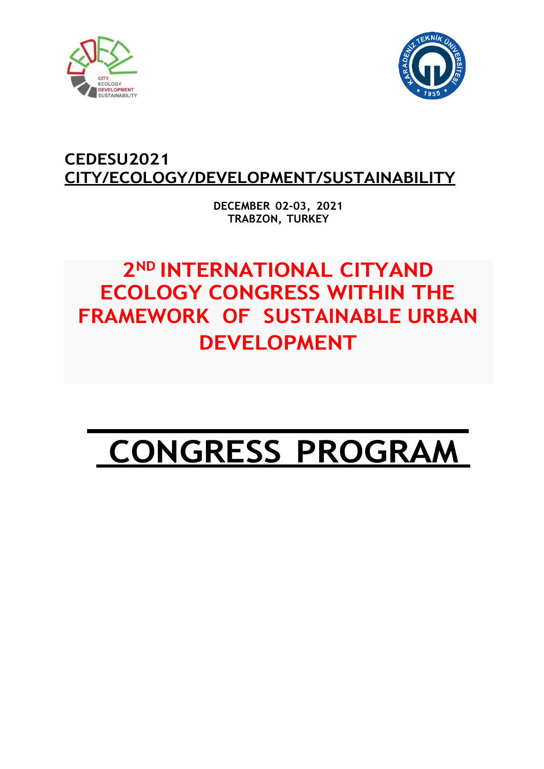



# **CEDESU2021 CITY/ECOLOGY/DEVELOPMENT/SUSTAINABILITY**

**DECEMBER 02-03, 2021 TRABZON, TURKEY**

# **2ND INTERNATIONAL CITYAND ECOLOGY CONGRESS WITHIN THE FRAMEWORK OF SUSTAINABLE URBAN DEVELOPMENT**

# **CONGRESS PROGRAM**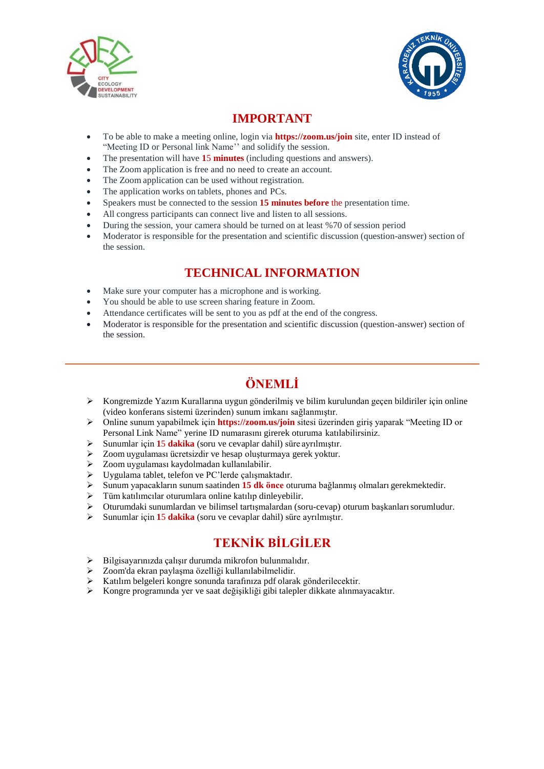



### **IMPORTANT**

- To be able to make a meeting online, login via **https://zoom.us/join** site, enter ID instead of "Meeting ID or Personal link Name" and solidify the session.
- The presentation will have **1**5 **minutes** (including questions and answers).
- The Zoom application is free and no need to create an account.
- The Zoom application can be used without registration.
- The application works on tablets, phones and PCs.
- Speakers must be connected to the session **15 minutes before** the presentation time.
- All congress participants can connect live and listen to all sessions.
- During the session, your camera should be turned on at least %70 of session period
- Moderator is responsible for the presentation and scientific discussion (question-answer) section of the session.

### **TECHNICAL INFORMATION**

- Make sure your computer has a microphone and is working.
- You should be able to use screen sharing feature in Zoom.
- Attendance certificates will be sent to you as pdf at the end of the congress.
- Moderator is responsible for the presentation and scientific discussion (question-answer) section of the session.

# **ÖNEMLİ**

- $\triangleright$  Kongremizde Yazım Kurallarına uygun gönderilmiş ve bilim kurulundan geçen bildiriler için online (video konferans sistemi üzerinden) sunum imkanı sağlanmıştır.
- Online sunum yapabilmek için **https://zoom.us/join** sitesi üzerinden giriş yaparak "Meeting ID or Personal Link Name" yerine ID numarasını girerek oturuma katılabilirsiniz.
- Sunumlar için **1**5 **dakika** (soru ve cevaplar dahil) süre ayrılmıştır.
- Zoom uygulaması ücretsizdir ve hesap oluşturmaya gerek yoktur.
- Zoom uygulaması kaydolmadan kullanılabilir.
- $\triangleright$  Uygulama tablet, telefon ve PC'lerde çalışmaktadır.<br>  $\triangleright$  Sunum vapacakların sunum saatinden **15 dk önce** ot
- Sunum yapacakların sunum saatinden **15 dk önce** oturuma bağlanmış olmaları gerekmektedir.
- Tüm katılımcılar oturumlara online katılıp dinleyebilir.
- $\triangleright$  Oturumdaki sunumlardan ve bilimsel tartışmalardan (soru-cevap) oturum başkanları sorumludur.<br>  $\triangleright$  Sunumlar için 15 dakika (soru ve cevanlar dahil) süre avrulmıştır
- Sunumlar için **1**5 **dakika** (soru ve cevaplar dahil) süre ayrılmıştır.

### **TEKNİK BİLGİLER**

- Bilgisayarınızda çalışır durumda mikrofon bulunmalıdır.
- Zoom'da ekran paylaşma özelliği kullanılabilmelidir.
- Katılım belgeleri kongre sonunda tarafınıza pdf olarak gönderilecektir.
- Kongre programında yer ve saat değişikliği gibi talepler dikkate alınmayacaktır.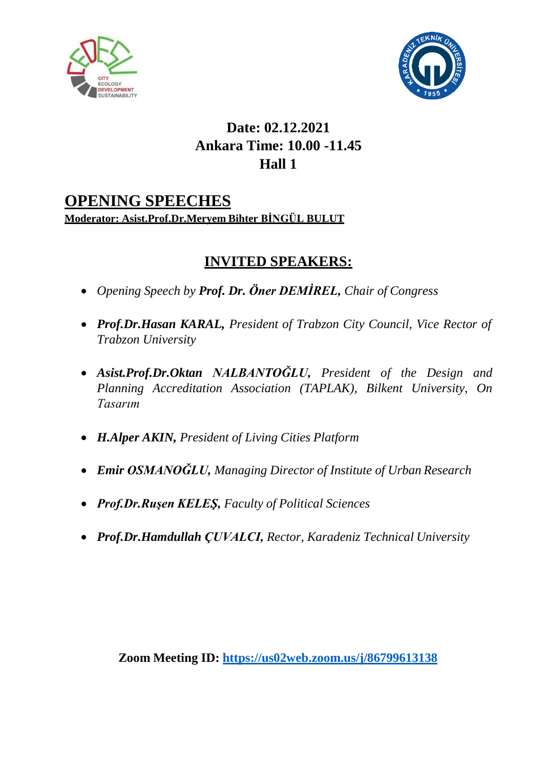



# **Date: 02.12.2021 Ankara Time: 10.00 -11.45 Hall 1**

## **OPENING SPEECHES Moderator: Asist.Prof.Dr.Meryem Bihter BİNGÜL BULUT**

# **INVITED SPEAKERS:**

- *Opening Speech by Prof. Dr. Öner DEMİREL, Chair of Congress*
- *Prof.Dr.Hasan KARAL, President of Trabzon City Council, Vice Rector of Trabzon University*
- *Asist.Prof.Dr.Oktan NALBANTOĞLU, President of the Design and Planning Accreditation Association (TAPLAK), Bilkent University, On Tasarım*
- *H.Alper AKIN, President of Living Cities Platform*
- *Emir OSMANOĞLU, Managing Director of Institute of Urban Research*
- *Prof.Dr.Ruşen KELEŞ, Faculty of Political Sciences*
- *Prof.Dr.Hamdullah ÇUVALCI, Rector, Karadeniz Technical University*

**Zoom Meeting ID: <https://us02web.zoom.us/j/86799613138>**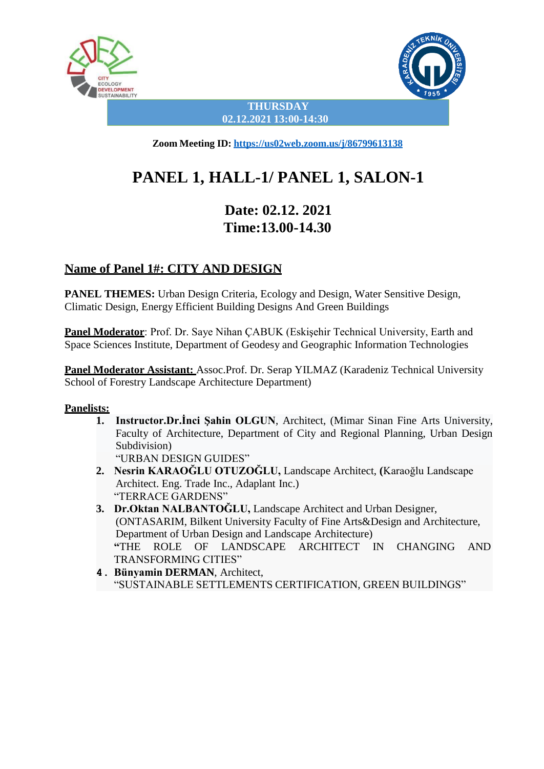



**THURSDAY 02.12.2021 13:00-14:30**

**Zoom Meeting ID: <https://us02web.zoom.us/j/86799613138>**

# **PANEL 1, HALL-1/ PANEL 1, SALON-1**

# **Date: 02.12. 2021 Time:13.00-14.30**

### **Name of Panel 1#: CITY AND DESIGN**

**PANEL THEMES:** Urban Design Criteria, Ecology and Design, Water Sensitive Design, Climatic Design, Energy Efficient Building Designs And Green Buildings

**Panel Moderator**: Prof. Dr. Saye Nihan ÇABUK (Eskişehir Technical University, Earth and Space Sciences Institute, Department of Geodesy and Geographic Information Technologies

**Panel Moderator Assistant:** Assoc.Prof. Dr. Serap YILMAZ (Karadeniz Technical University School of Forestry Landscape Architecture Department)

#### **Panelists:**

**1. Instructor.Dr.İnci Şahin OLGUN**, Architect, (Mimar Sinan Fine Arts University, Faculty of Architecture, Department of City and Regional Planning, Urban Design Subdivision)

"URBAN DESIGN GUIDES"

- **2. Nesrin KARAOĞLU OTUZOĞLU,** Landscape Architect, **(**Karaoğlu Landscape Architect. Eng. Trade Inc., Adaplant Inc.) "TERRACE GARDENS"
- **3. Dr.Oktan NALBANTOĞLU,** Landscape Architect and Urban Designer, (ONTASARIM, Bilkent University Faculty of Fine Arts&Design and Architecture, Department of Urban Design and Landscape Architecture) **"**THE ROLE OF LANDSCAPE ARCHITECT IN CHANGING AND TRANSFORMING CITIES"
- **4. Bünyamin DERMAN**, Architect, "SUSTAINABLE SETTLEMENTS CERTIFICATION, GREEN BUILDINGS"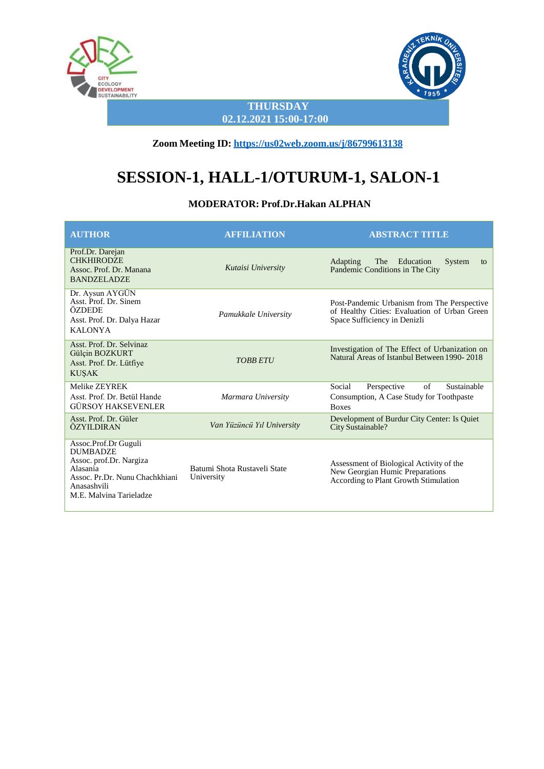



**THURSDAY 02.12.2021 15:00-17:00**

**Zoom Meeting ID: <https://us02web.zoom.us/j/86799613138>**

# **SESSION-1, HALL-1/OTURUM-1, SALON-1**

#### **MODERATOR: Prof.Dr.Hakan ALPHAN**

| <b>AUTHOR</b>                                                                                                                                              | <b>AFFILIATION</b>                         | <b>ABSTRACT TITLE</b>                                                                                                       |
|------------------------------------------------------------------------------------------------------------------------------------------------------------|--------------------------------------------|-----------------------------------------------------------------------------------------------------------------------------|
| Prof.Dr. Darejan<br><b>CHKHIRODZE</b><br>Assoc. Prof. Dr. Manana<br><b>BANDZELADZE</b>                                                                     | Kutaisi University                         | <b>Adapting</b><br>Education<br>System<br><b>The</b><br>to<br>Pandemic Conditions in The City                               |
| Dr. Aysun AYGÜN<br>Asst. Prof. Dr. Sinem<br>ÖZDEDE<br>Asst. Prof. Dr. Dalya Hazar<br><b>KALONYA</b>                                                        | Pamukkale University                       | Post-Pandemic Urbanism from The Perspective<br>of Healthy Cities: Evaluation of Urban Green<br>Space Sufficiency in Denizli |
| Asst. Prof. Dr. Selvinaz<br>Gülçin BOZKURT<br>Asst. Prof. Dr. Lütfiye<br><b>KUŞAK</b>                                                                      | <b>TOBB ETU</b>                            | Investigation of The Effect of Urbanization on<br>Natural Areas of Istanbul Between 1990-2018                               |
| Melike ZEYREK<br>Asst. Prof. Dr. Betül Hande<br>GÜRSOY HAKSEVENLER                                                                                         | Marmara University                         | Sustainable<br>Social<br>Perspective<br>of<br>Consumption, A Case Study for Toothpaste<br><b>Boxes</b>                      |
| Asst. Prof. Dr. Güler<br>ÖZYILDIRAN                                                                                                                        | Van Yüzüncü Yıl University                 | Development of Burdur City Center: Is Quiet<br>City Sustainable?                                                            |
| Assoc.Prof.Dr Guguli<br><b>DUMBADZE</b><br>Assoc. prof.Dr. Nargiza<br>Alasania<br>Assoc. Pr.Dr. Nunu Chachkhiani<br>Anasashvili<br>M.E. Malvina Tarieladze | Batumi Shota Rustaveli State<br>University | Assessment of Biological Activity of the<br>New Georgian Humic Preparations<br>According to Plant Growth Stimulation        |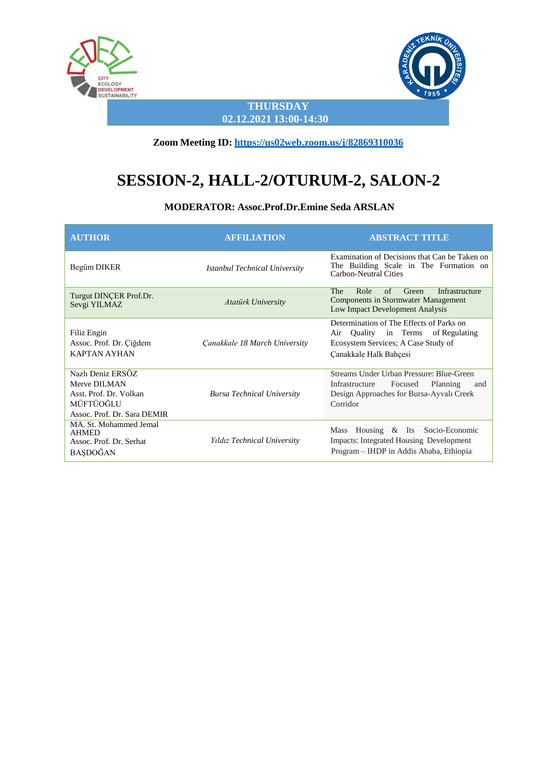



**THURSDAY 02.12.2021 13:00-14:30**

**Zoom Meeting ID: <https://us02web.zoom.us/j/82869310036>**

# **SESSION-2, HALL-2/OTURUM-2, SALON-2**

**MODERATOR: Assoc.Prof.Dr.Emine Seda ARSLAN**

| <b>AUTHOR</b>                                                                                           | <b>AFFILIATION</b>                | <b>ABSTRACT TITLE</b>                                                                                                                              |
|---------------------------------------------------------------------------------------------------------|-----------------------------------|----------------------------------------------------------------------------------------------------------------------------------------------------|
| Begüm DIKER                                                                                             | Istanbul Technical University     | Examination of Decisions that Can be Taken on<br>The Building Scale in The Formation on<br><b>Carbon-Neutral Cities</b>                            |
| Turgut DINCER Prof.Dr.<br>Sevgi YILMAZ                                                                  | Atatürk University                | Role<br>$\alpha$ f<br>Infrastructure<br>The<br>Green<br><b>Components in Stormwater Management</b><br>Low Impact Development Analysis              |
| Filiz Engin<br>Assoc. Prof. Dr. Çiğdem<br><b>KAPTAN AYHAN</b>                                           | Canakkale 18 March University     | Determination of The Effects of Parks on<br>Quality in Terms of Regulating<br>Air<br>Ecosystem Services; A Case Study of<br>Canakkale Halk Bahçesi |
| Nazlı Deniz ERSÖZ<br>Merve DILMAN<br>Asst. Prof. Dr. Volkan<br>MÜFTÜOĞLU<br>Assoc. Prof. Dr. Sara DEMIR | <b>Bursa Technical University</b> | Streams Under Urban Pressure: Blue-Green<br>Infrastructure<br>Focused<br>Planning<br>and<br>Design Approaches for Bursa-Ayvalı Creek<br>Corridor   |
| MA. St. Mohammed Jemal<br><b>AHMED</b><br>Assoc. Prof. Dr. Serhat<br>BAŞDOĞAN                           | Yıldız Technical University       | Mass Housing & Its Socio-Economic<br>Impacts: Integrated Housing Development<br>Program - IHDP in Addis Ababa, Ethiopia                            |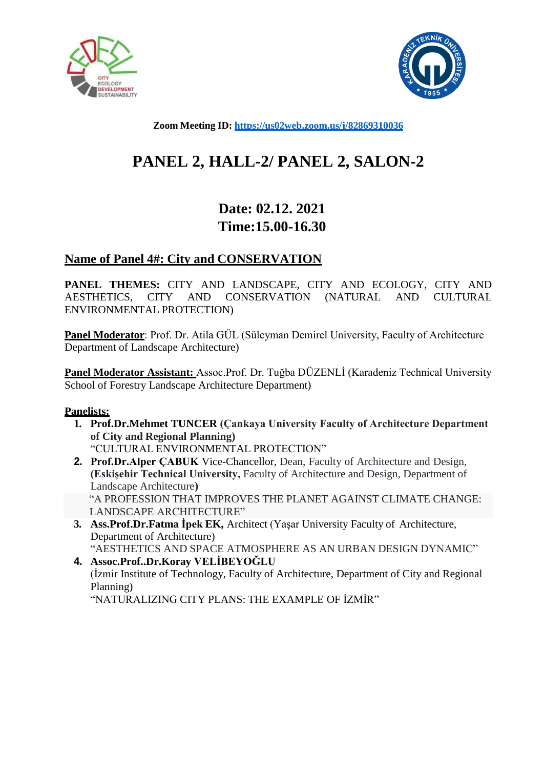



**Zoom Meeting ID: <https://us02web.zoom.us/j/82869310036>**

# **PANEL 2, HALL-2/ PANEL 2, SALON-2**

# **Date: 02.12. 2021 Time:15.00-16.30**

### **Name of Panel 4#: City and CONSERVATION**

**PANEL THEMES:** CITY AND LANDSCAPE, CITY AND ECOLOGY, CITY AND AESTHETICS, CITY AND CONSERVATION (NATURAL AND CULTURAL ENVIRONMENTAL PROTECTION)

**Panel Moderator**: Prof. Dr. Atila GÜL (Süleyman Demirel University, Faculty of Architecture Department of Landscape Architecture)

**Panel Moderator Assistant:** Assoc.Prof. Dr. Tuğba DÜZENLİ (Karadeniz Technical University School of Forestry Landscape Architecture Department)

### **Panelists:**

- **1. Prof.Dr.Mehmet TUNCER (Çankaya University Faculty of Architecture Department of City and Regional Planning)** "CULTURAL ENVIRONMENTAL PROTECTION"
- **2. Prof.Dr.Alper ÇABUK** Vice-Chancellor, Dean, Faculty of Architecture and Design, **(Eskişehir Technical University,** Faculty of Architecture and Design, Department of Landscape Architecture**)** "A PROFESSION THAT IMPROVES THE PLANET AGAINST CLIMATE CHANGE: LANDSCAPE ARCHITECTURE"
- **3. Ass.Prof.Dr.Fatma İpek EK,** Architect (Yaşar University Faculty of Architecture, Department of Architecture)

"AESTHETICS AND SPACE ATMOSPHERE AS AN URBAN DESIGN DYNAMIC" **4. Assoc.Prof..Dr.Koray VELİBEYOĞLU** (İzmir Institute of Technology, Faculty of Architecture, Department of City and Regional Planning)

"NATURALIZING CITY PLANS: THE EXAMPLE OF İZMİR"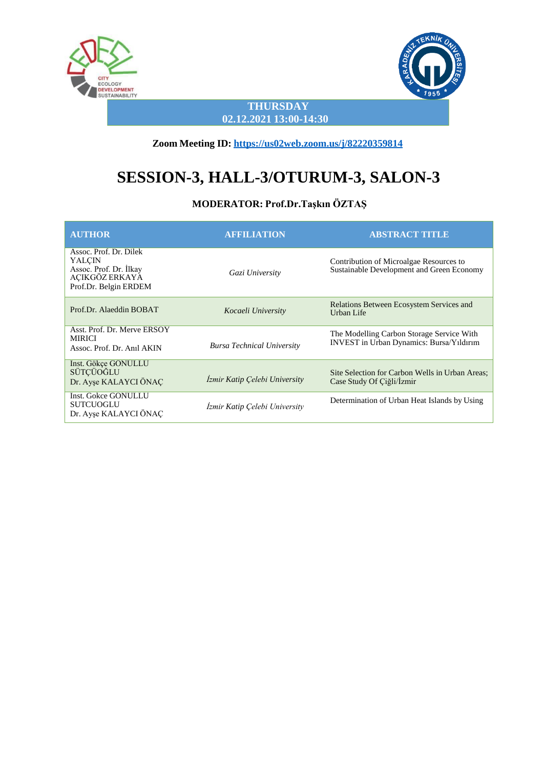



**THURSDAY 02.12.2021 13:00-14:30**

**Zoom Meeting ID: <https://us02web.zoom.us/j/82220359814>**

# **SESSION-3, HALL-3/OTURUM-3, SALON-3**

### **MODERATOR: Prof.Dr.Taşkın ÖZTAŞ**

| <b>AUTHOR</b>                                                                                         | <b>AFFILIATION</b>                | <b>ABSTRACT TITLE</b>                                                                        |
|-------------------------------------------------------------------------------------------------------|-----------------------------------|----------------------------------------------------------------------------------------------|
| Assoc. Prof. Dr. Dilek<br>YALCIN<br>Assoc. Prof. Dr. İlkay<br>AÇIKGÖZ ERKAYA<br>Prof.Dr. Belgin ERDEM | Gazi University                   | Contribution of Microalgae Resources to<br>Sustainable Development and Green Economy         |
| Prof.Dr. Alaeddin BOBAT                                                                               | Kocaeli University                | Relations Between Ecosystem Services and<br>Urban Life                                       |
| Asst. Prof. Dr. Merve ERSOY<br><b>MIRICI</b><br>Assoc. Prof. Dr. Anil AKIN                            | <b>Bursa Technical University</b> | The Modelling Carbon Storage Service With<br><b>INVEST</b> in Urban Dynamics: Bursa/Yıldırım |
| Inst. Gökçe GÖNÜLLÜ<br>SÜTÇÜOĞLU<br>Dr. Ayşe KALAYCI ÖNAÇ                                             | Izmir Katip Çelebi University     | Site Selection for Carbon Wells in Urban Areas;<br>Case Study Of Çiğli/İzmir                 |
| <b>Inst. Gokce GONULLU</b><br><b>SUTCUOGLU</b><br>Dr. Ayşe KALAYCI ÖNAÇ                               | Izmir Katip Çelebi University     | Determination of Urban Heat Islands by Using                                                 |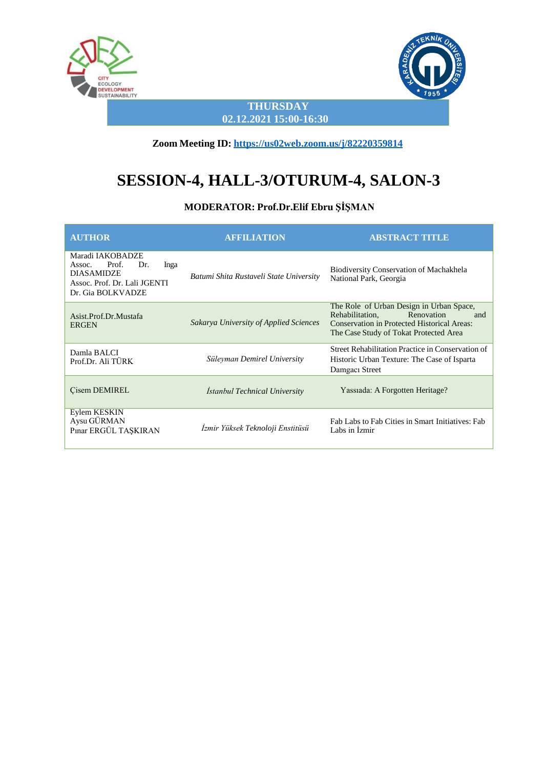



**THURSDAY 02.12.2021 15:00-16:30**

**Zoom Meeting ID: <https://us02web.zoom.us/j/82220359814>**

# **SESSION-4, HALL-3/OTURUM-4, SALON-3**

**MODERATOR: Prof.Dr.Elif Ebru ŞİŞMAN**

| <b>AUTHOR</b>                                                                                                                | <b>AFFILIATION</b>                      | <b>ABSTRACT TITLE</b>                                                                                                                                                            |
|------------------------------------------------------------------------------------------------------------------------------|-----------------------------------------|----------------------------------------------------------------------------------------------------------------------------------------------------------------------------------|
| Maradi IAKOBADZE<br>Prof.<br>Inga<br>Dr.<br>Assoc.<br><b>DIASAMIDZE</b><br>Assoc. Prof. Dr. Lali JGENTI<br>Dr. Gia BOLKVADZE | Batumi Shita Rustaveli State University | Biodiversity Conservation of Machakhela<br>National Park, Georgia                                                                                                                |
| Asist.Prof.Dr.Mustafa<br><b>ERGEN</b>                                                                                        | Sakarya University of Applied Sciences  | The Role of Urban Design in Urban Space,<br>Renovation<br>Rehabilitation,<br>and<br><b>Conservation in Protected Historical Areas:</b><br>The Case Study of Tokat Protected Area |
| Damla BALCI<br>Prof.Dr. Ali TÜRK                                                                                             | Süleyman Demirel University             | Street Rehabilitation Practice in Conservation of<br>Historic Urban Texture: The Case of Isparta<br>Damgaci Street                                                               |
| Cisem DEMIREL                                                                                                                | Istanbul Technical University           | Yassiada: A Forgotten Heritage?                                                                                                                                                  |
| Eylem KESKIN<br>Aysu GÜRMAN<br>Pinar ERGÜL TAŞKIRAN                                                                          | İzmir Yüksek Teknoloji Enstitüsü        | Fab Labs to Fab Cities in Smart Initiatives: Fab<br>Labs in Izmir                                                                                                                |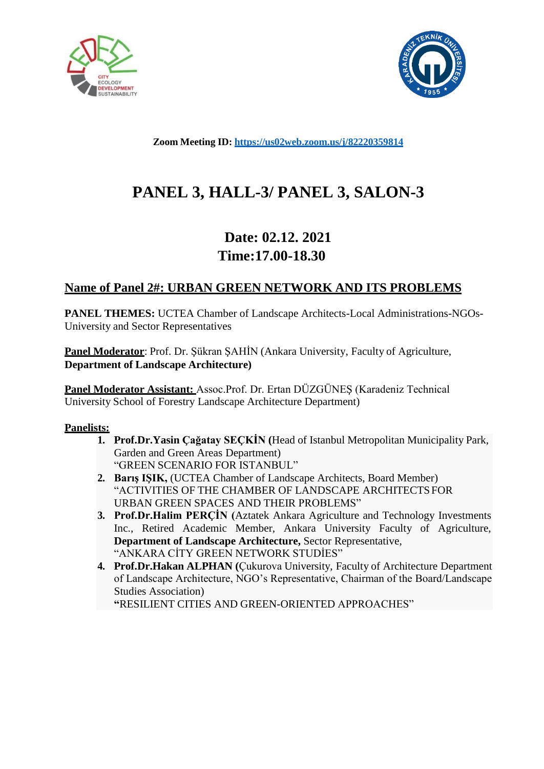



**Zoom Meeting ID: <https://us02web.zoom.us/j/82220359814>**

# **PANEL 3, HALL-3/ PANEL 3, SALON-3**

# **Date: 02.12. 2021 Time:17.00-18.30**

### **Name of Panel 2#: URBAN GREEN NETWORK AND ITS PROBLEMS**

**PANEL THEMES:** UCTEA Chamber of Landscape Architects-Local Administrations-NGOs-University and Sector Representatives

**Panel Moderator:** Prof. Dr. Şükran ŞAHİN (Ankara University, Faculty of Agriculture, **Department of Landscape Architecture)**

**Panel Moderator Assistant:** Assoc.Prof. Dr. Ertan DÜZGÜNEŞ (Karadeniz Technical University School of Forestry Landscape Architecture Department)

#### **Panelists:**

- **1. Prof.Dr.Yasin Çağatay SEÇKİN (**Head of Istanbul Metropolitan Municipality Park, Garden and Green Areas Department) "GREEN SCENARIO FOR ISTANBUL"
- **2. Barış IŞIK,** (UCTEA Chamber of Landscape Architects, Board Member) "ACTIVITIES OF THE CHAMBER OF LANDSCAPE ARCHITECTSFOR URBAN GREEN SPACES AND THEIR PROBLEMS"
- **3. Prof.Dr.Halim PERÇİN (**Aztatek Ankara Agriculture and Technology Investments Inc., Retired Academic Member, Ankara University Faculty of Agriculture, **Department of Landscape Architecture,** Sector Representative, "ANKARA CİTY GREEN NETWORK STUDİES"
- **4. Prof.Dr.Hakan ALPHAN (**Çukurova University, Faculty of Architecture Department of Landscape Architecture, NGO's Representative, Chairman of the Board/Landscape Studies Association)

**"**RESILIENT CITIES AND GREEN-ORIENTED APPROACHES"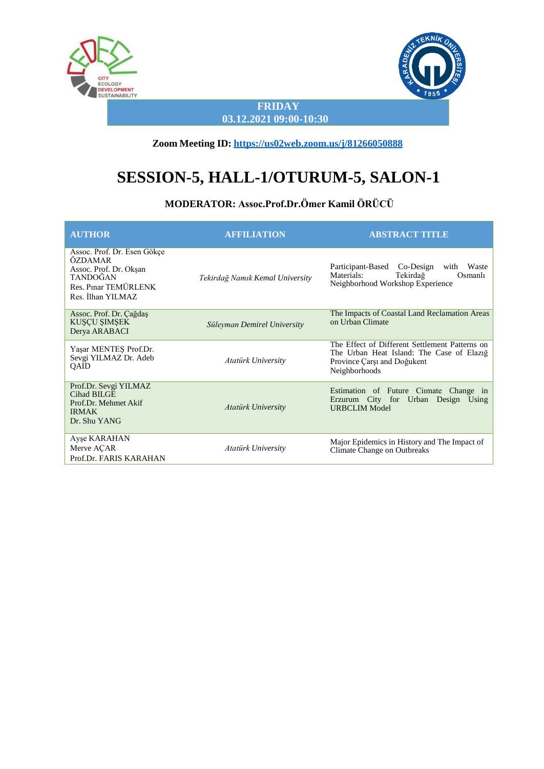



**FRIDAY 03.12.2021 09:00-10:30**

**Zoom Meeting ID: <https://us02web.zoom.us/j/81266050888>**

# **SESSION-5, HALL-1/OTURUM-5, SALON-1**

### **MODERATOR: Assoc.Prof.Dr.Ömer Kamil ÖRÜCÜ**

| <b>AUTHOR</b>                                                                                                             | <b>AFFILIATION</b>              | <b>ABSTRACT TITLE</b>                                                                                                                       |
|---------------------------------------------------------------------------------------------------------------------------|---------------------------------|---------------------------------------------------------------------------------------------------------------------------------------------|
| Assoc. Prof. Dr. Esen Gökçe<br>ÖZDAMAR<br>Assoc. Prof. Dr. Okşan<br>TANDOĞAN<br>Res. Pinar TEMÜRLENK<br>Res. İlhan YILMAZ | Tekirdağ Namık Kemal University | Participant-Based<br>Co-Design<br>with Waste<br>Tekirdağ<br>Materials:<br>Osmanlı<br>Neighborhood Workshop Experience                       |
| Assoc. Prof. Dr. Çağdaş<br>KUŞÇU ŞIMŞEK<br>Derya ARABACI                                                                  | Süleyman Demirel University     | The Impacts of Coastal Land Reclamation Areas<br>on Urban Climate                                                                           |
| Yaşar MENTEŞ Prof.Dr.<br>Sevgi YILMAZ Dr. Adeb<br>QAID                                                                    | <b>Atatürk University</b>       | The Effect of Different Settlement Patterns on<br>The Urban Heat Island: The Case of Elazig<br>Province Carsi and Doğukent<br>Neighborhoods |
| Prof.Dr. Sevgi YILMAZ<br>Cihad BILGE<br>Prof.Dr. Mehmet Akif<br><b>IRMAK</b><br>Dr. Shu YANG                              | <b>Atatürk University</b>       | Estimation of Future Ciimate Change in<br>Erzurum City for Urban Design Using<br><b>URBCLIM Model</b>                                       |
| Ayse KARAHAN<br>Merve ACAR<br>Prof.Dr. FARIS KARAHAN                                                                      | Atatürk University              | Major Epidemics in History and The Impact of<br>Climate Change on Outbreaks                                                                 |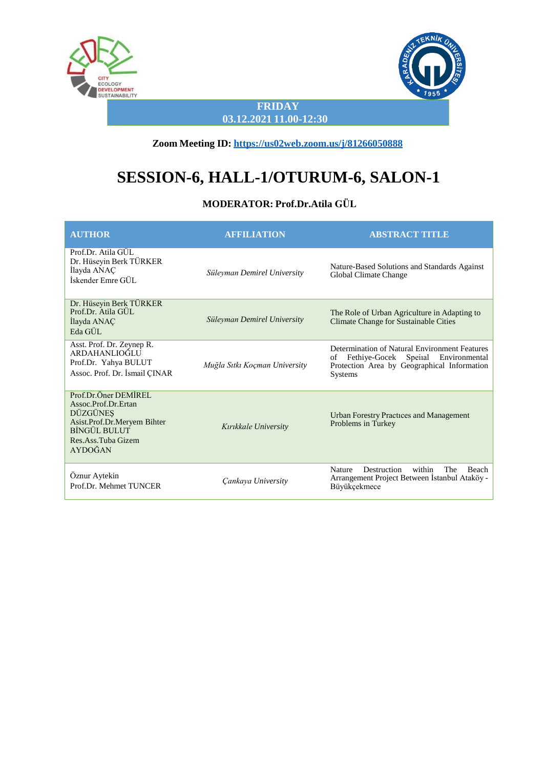



**FRIDAY 03.12.2021 11.00-12:30**

**Zoom Meeting ID: <https://us02web.zoom.us/j/81266050888>**

# **SESSION-6, HALL-1/OTURUM-6, SALON-1**

### **MODERATOR: Prof.Dr.Atila GÜL**

| <b>AUTHOR</b>                                                                                                                                         | <b>AFFILIATION</b>            | <b>ABSTRACT TITLE</b>                                                                                                                                          |
|-------------------------------------------------------------------------------------------------------------------------------------------------------|-------------------------------|----------------------------------------------------------------------------------------------------------------------------------------------------------------|
| Prof.Dr. Atila GÜL<br>Dr. Hüseyin Berk TÜRKER<br>Ilayda ANAÇ<br>İskender Emre GÜL                                                                     | Süleyman Demirel University   | Nature-Based Solutions and Standards Against<br>Global Climate Change                                                                                          |
| Dr. Hüseyin Berk TÜRKER<br>Prof.Dr. Atila GUL<br>İlayda ANAÇ<br>Eda GÜL                                                                               | Süleyman Demirel University   | The Role of Urban Agriculture in Adapting to<br>Climate Change for Sustainable Cities                                                                          |
| Asst. Prof. Dr. Zeynep R.<br><b>ARDAHANLIOĞLU</b><br>Prof.Dr. Yahya BULUT<br>Assoc. Prof. Dr. Ismail CINAR                                            | Muğla Sıtkı Koçman University | Determination of Natural Environment Features<br>Fethiye-Gocek<br>Speiial Environmental<br>of<br>Protection Area by Geographical Information<br><b>Systems</b> |
| Prof.Dr.Öner DEMIREL<br>Assoc.Prof.Dr.Ertan<br>DÜZGÜNEŞ<br>Asist.Prof.Dr.Meryem Bihter<br><b>BİNGÜL BULUT</b><br>Res.Ass.Tuba Gizem<br><b>AYDOĞAN</b> | Kırıkkale University          | <b>Urban Forestry Practices and Management</b><br>Problems in Turkey                                                                                           |
| Öznur Aytekin<br>Prof.Dr. Mehmet TUNCER                                                                                                               | Cankaya University            | Destruction<br>within<br><b>Nature</b><br><b>The</b><br><b>Beach</b><br>Arrangement Project Between İstanbul Ataköy -<br>Büyükçekmece                          |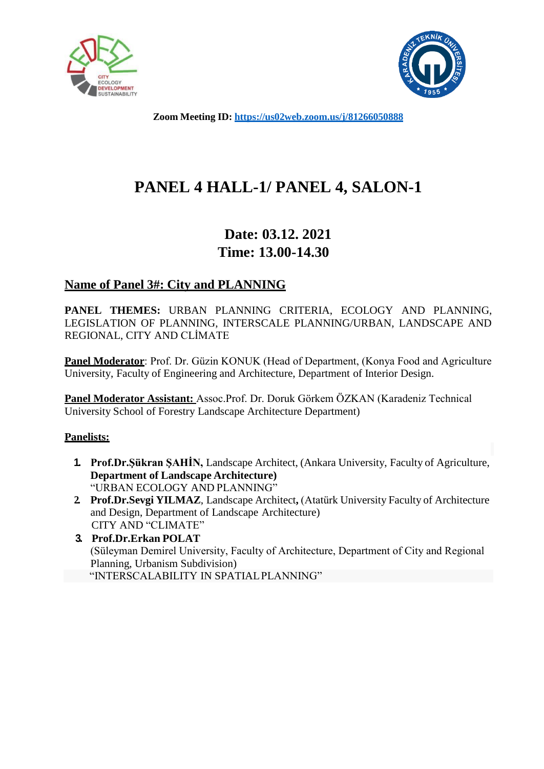



**Zoom Meeting ID: <https://us02web.zoom.us/j/81266050888>**

# **PANEL 4 HALL-1/ PANEL 4, SALON-1**

# **Date: 03.12. 2021 Time: 13.00-14.30**

### **Name of Panel 3#: City and PLANNING**

**PANEL THEMES:** URBAN PLANNING CRITERIA, ECOLOGY AND PLANNING, LEGISLATION OF PLANNING, INTERSCALE PLANNING/URBAN, LANDSCAPE AND REGIONAL, CITY AND CLİMATE

**Panel Moderator:** Prof. Dr. Güzin KONUK (Head of Department, (Konya Food and Agriculture University, Faculty of Engineering and Architecture, Department of Interior Design.

**Panel Moderator Assistant:** Assoc.Prof. Dr. Doruk Görkem ÖZKAN (Karadeniz Technical University School of Forestry Landscape Architecture Department)

### **Panelists:**

- **1. Prof.Dr.Şükran ŞAHİN,** Landscape Architect, (Ankara University, Faculty of Agriculture, **Department of Landscape Architecture)** "URBAN ECOLOGY AND PLANNING"
- **2. Prof.Dr.Sevgi YILMAZ**, Landscape Architect**,** (Atatürk University Faculty of Architecture and Design, Department of Landscape Architecture) CITY AND "CLIMATE"
- **3. Prof.Dr.Erkan POLAT** (Süleyman Demirel University, Faculty of Architecture, Department of City and Regional Planning, Urbanism Subdivision) "INTERSCALABILITY IN SPATIALPLANNING"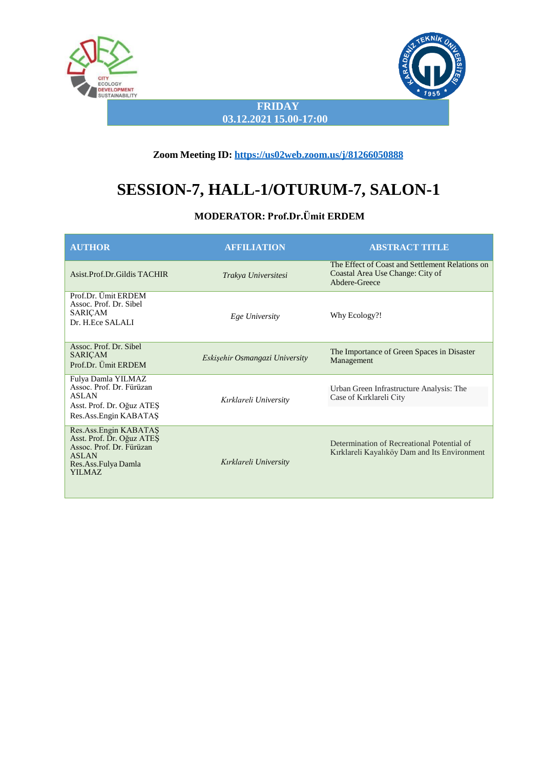



#### **FRIDAY 03.12.2021 15.00-17:00**

#### **Zoom Meeting ID: <https://us02web.zoom.us/j/81266050888>**

# **SESSION-7, HALL-1/OTURUM-7, SALON-1**

### **MODERATOR: Prof.Dr.Ümit ERDEM**

| <b>AUTHOR</b>                                                                                                                          | <b>AFFILIATION</b>             | <b>ABSTRACT TITLE</b>                                                                                |
|----------------------------------------------------------------------------------------------------------------------------------------|--------------------------------|------------------------------------------------------------------------------------------------------|
| Asist.Prof.Dr.Gildis TACHIR                                                                                                            | Trakya Universitesi            | The Effect of Coast and Settlement Relations on<br>Coastal Area Use Change: City of<br>Abdere-Greece |
| Prof.Dr. Ümit ERDEM<br>Assoc. Prof. Dr. Sibel<br>SARIÇAM<br>Dr. H.Ece SALALI                                                           | Ege University                 | Why Ecology?!                                                                                        |
| Assoc. Prof. Dr. Sibel<br><b>SARICAM</b><br>Prof.Dr. Ümit ERDEM                                                                        | Eskişehir Osmangazi University | The Importance of Green Spaces in Disaster<br>Management                                             |
| Fulya Damla YILMAZ<br>Assoc. Prof. Dr. Fürüzan<br><b>ASLAN</b><br>Asst. Prof. Dr. Oğuz ATES<br>Res.Ass.Engin KABATAŞ                   | Kırklareli University          | Urban Green Infrastructure Analysis: The<br>Case of Kırklareli City                                  |
| Res.Ass.Engin KABATAS<br>Asst. Prof. Dr. Oğuz ATES<br>Assoc. Prof. Dr. Fürüzan<br><b>ASLAN</b><br>Res.Ass.Fulya Damla<br><b>YILMAZ</b> | Kırklareli University          | Determination of Recreational Potential of<br>Kırklareli Kayalıköy Dam and Its Environment           |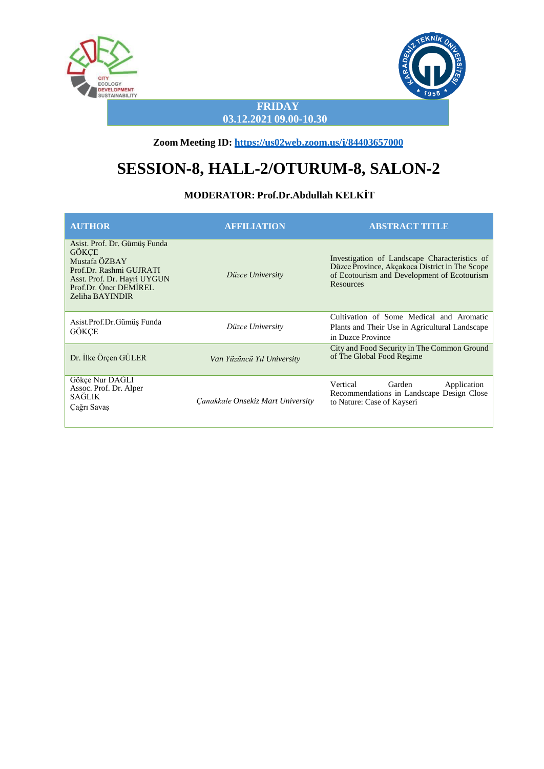



#### **FRIDAY 03.12.2021 09.00-10.30**

**Zoom Meeting ID: <https://us02web.zoom.us/j/84403657000>**

# **SESSION-8, HALL-2/OTURUM-8, SALON-2**

#### **MODERATOR: Prof.Dr.Abdullah KELKİT**

| <b>AUTHOR</b>                                                                                                                                                       | <b>AFFILIATION</b>                | <b>ABSTRACT TITLE</b>                                                                                                                                              |
|---------------------------------------------------------------------------------------------------------------------------------------------------------------------|-----------------------------------|--------------------------------------------------------------------------------------------------------------------------------------------------------------------|
| Asist. Prof. Dr. Gümüş Funda<br><b>GÖKCE</b><br>Mustafa ÖZBAY<br>Prof.Dr. Rashmi GUJRATI<br>Asst. Prof. Dr. Hayri UYGUN<br>Prof.Dr. Öner DEMIREL<br>Zeliha BAYINDIR | Düzce University                  | Investigation of Landscape Characteristics of<br>Düzce Province, Akçakoca District in The Scope<br>of Ecotourism and Development of Ecotourism<br><b>Resources</b> |
| Asist.Prof.Dr.Gümüş Funda<br>GÖKÇE                                                                                                                                  | Düzce University                  | Cultivation of Some Medical and Aromatic<br>Plants and Their Use in Agricultural Landscape<br>in Duzce Province                                                    |
| Dr. İlke Örçen GÜLER                                                                                                                                                | Van Yüzüncü Yıl University        | City and Food Security in The Common Ground<br>of The Global Food Regime                                                                                           |
| Gökçe Nur DAĞLI<br>Assoc. Prof. Dr. Alper<br><b>SAĞLIK</b><br>Çağrı Savaş                                                                                           | Canakkale Onsekiz Mart University | Vertical<br>Garden<br>Application<br>Recommendations in Landscape Design Close<br>to Nature: Case of Kayseri                                                       |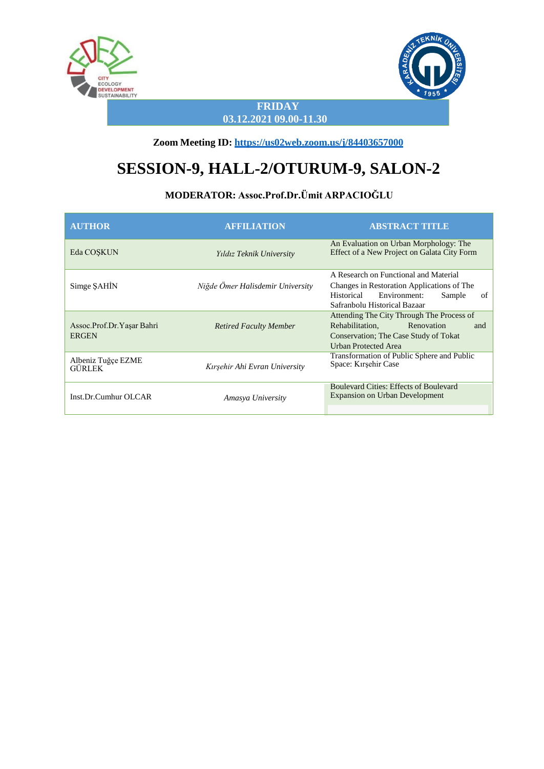



#### **FRIDAY 03.12.2021 09.00-11.30**

**Zoom Meeting ID: <https://us02web.zoom.us/j/84403657000>**

# **SESSION-9, HALL-2/OTURUM-9, SALON-2**

### **MODERATOR: Assoc.Prof.Dr.Ümit ARPACIOĞLU**

| <b>AUTHOR</b>                             | <b>AFFILIATION</b>               | <b>ABSTRACT TITLE</b>                                                                                                                                             |
|-------------------------------------------|----------------------------------|-------------------------------------------------------------------------------------------------------------------------------------------------------------------|
| Eda COSKUN                                | Yıldız Teknik University         | An Evaluation on Urban Morphology: The<br>Effect of a New Project on Galata City Form                                                                             |
| Simge SAHIN                               | Niğde Ömer Halisdemir University | A Research on Functional and Material<br>Changes in Restoration Applications of The<br>Environment:<br>Historical<br>of<br>Sample<br>Safranbolu Historical Bazaar |
| Assoc.Prof.Dr.Yaşar Bahri<br><b>ERGEN</b> | <b>Retired Faculty Member</b>    | Attending The City Through The Process of<br>Renovation<br>Rehabilitation.<br>and<br>Conservation: The Case Study of Tokat<br><b>Urban Protected Area</b>         |
| Albeniz Tuğçe EZME<br>GÜRLEK              | Kırşehir Ahi Evran University    | Transformation of Public Sphere and Public<br>Space: Kirşehir Case                                                                                                |
| Inst.Dr.Cumhur OLCAR                      | Amasya University                | <b>Boulevard Cities: Effects of Boulevard</b><br><b>Expansion on Urban Development</b>                                                                            |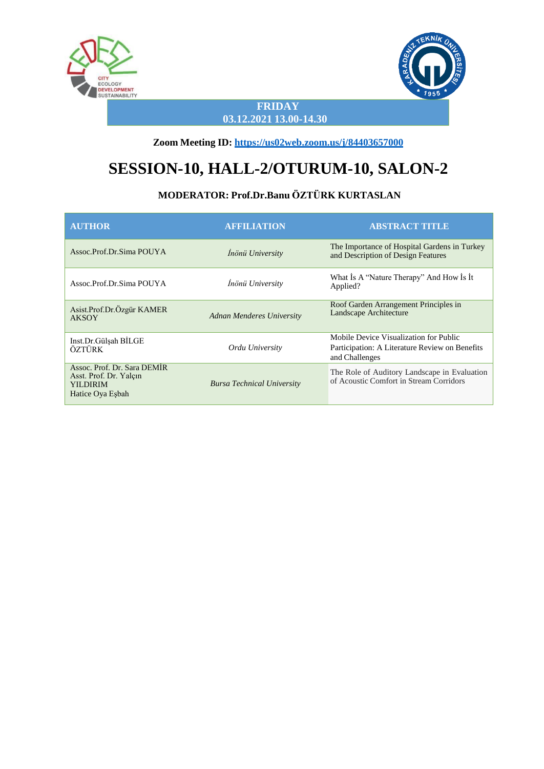



#### **FRIDAY 03.12.2021 13.00-14.30**

**Zoom Meeting ID: <https://us02web.zoom.us/j/84403657000>**

# **SESSION-10, HALL-2/OTURUM-10, SALON-2**

### **MODERATOR: Prof.Dr.Banu ÖZTÜRK KURTASLAN**

| <b>AUTHOR</b>                                                                                | <b>AFFILIATION</b>                | <b>ABSTRACT TITLE</b>                                                                                      |
|----------------------------------------------------------------------------------------------|-----------------------------------|------------------------------------------------------------------------------------------------------------|
| Assoc.Prof.Dr.Sima POUYA                                                                     | Inönü University                  | The Importance of Hospital Gardens in Turkey<br>and Description of Design Features                         |
| Assoc.Prof.Dr.Sima POUYA                                                                     | Inönü University                  | What Is A "Nature Therapy" And How Is It<br>Applied?                                                       |
| Asist.Prof.Dr.Özgür KAMER<br><b>AKSOY</b>                                                    | Adnan Menderes University         | Roof Garden Arrangement Principles in<br>Landscape Architecture                                            |
| Inst.Dr.Gülşah BİLGE<br>ÖZTÜRK                                                               | Ordu University                   | Mobile Device Visualization for Public<br>Participation: A Literature Review on Benefits<br>and Challenges |
| Assoc. Prof. Dr. Sara DEMIR<br>Asst. Prof. Dr. Yalçın<br><b>YILDIRIM</b><br>Hatice Oya Esbah | <b>Bursa Technical University</b> | The Role of Auditory Landscape in Evaluation<br>of Acoustic Comfort in Stream Corridors                    |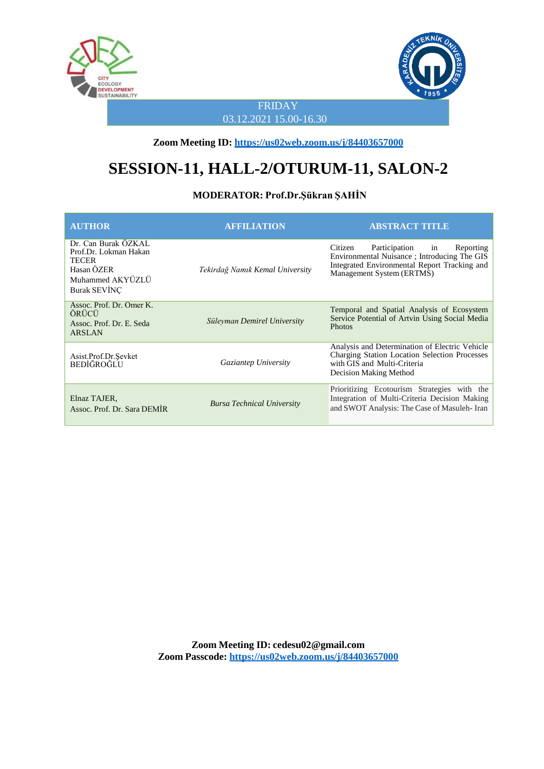



FRIDAY 03.12.2021 15.00-16.30

**Zoom Meeting ID: <https://us02web.zoom.us/j/84403657000>**

# **SESSION-11, HALL-2/OTURUM-11, SALON-2**

#### **MODERATOR: Prof.Dr.Şükran ŞAHİN**

| <b>AUTHOR</b>                                                                                                  | <b>AFFILIATION</b>                | <b>ABSTRACT TITLE</b>                                                                                                                                                    |
|----------------------------------------------------------------------------------------------------------------|-----------------------------------|--------------------------------------------------------------------------------------------------------------------------------------------------------------------------|
| Dr. Can Burak ÖZKAL<br>Prof.Dr. Lokman Hakan<br>TECER<br>Hasan ÖZER<br>Muhammed AKYÜZLÜ<br><b>Burak SEVINC</b> | Tekirdağ Namık Kemal University   | Participation<br>Citizen<br>Reporting<br>in<br>Environmental Nuisance ; Introducing The GIS<br>Integrated Environmental Report Tracking and<br>Management System (ERTMS) |
| Assoc. Prof. Dr. Ömer K.<br>ÖRÜCÜ<br>Assoc. Prof. Dr. E. Seda<br><b>ARSLAN</b>                                 | Süleyman Demirel University       | Temporal and Spatial Analysis of Ecosystem<br>Service Potential of Artvin Using Social Media<br><b>Photos</b>                                                            |
| Asist.Prof.Dr.Sevket<br><b>BEDIĞROĞLU</b>                                                                      | Gaziantep University              | Analysis and Determination of Electric Vehicle<br>Charging Station Location Selection Processes<br>with GIS and Multi-Criteria<br>Decision Making Method                 |
| Elnaz TAJER.<br>Assoc. Prof. Dr. Sara DEMIR                                                                    | <b>Bursa Technical University</b> | Prioritizing Ecotourism Strategies with the<br>Integration of Multi-Criteria Decision Making<br>and SWOT Analysis: The Case of Masuleh-Iran                              |

**Zoom Meeting ID: [cedesu02@gmail.com](mailto:cedesu02@gmail.com) Zoom Passcode: <https://us02web.zoom.us/j/84403657000>**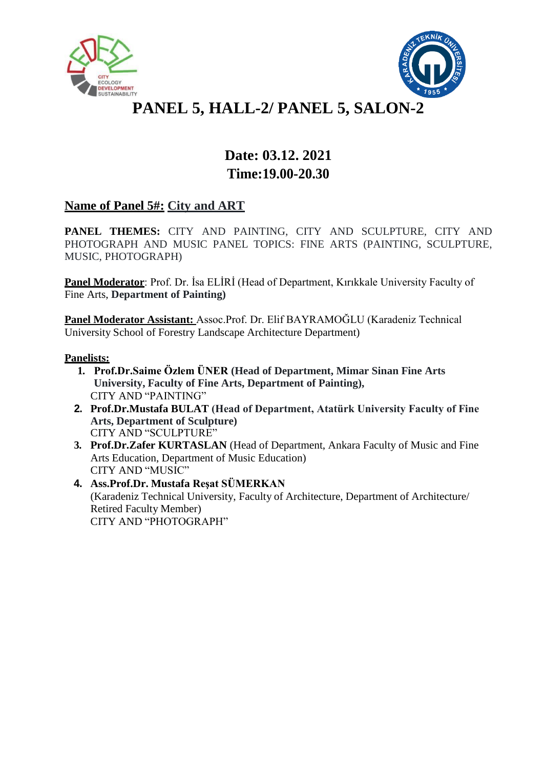



# **PANEL 5, HALL-2/ PANEL 5, SALON-2**

# **Date: 03.12. 2021 Time:19.00-20.30**

### **Name of Panel 5#: City and ART**

**PANEL THEMES:** CITY AND PAINTING, CITY AND SCULPTURE, CITY AND PHOTOGRAPH AND MUSIC PANEL TOPICS: FINE ARTS (PAINTING, SCULPTURE, MUSIC, PHOTOGRAPH)

**Panel Moderator**: Prof. Dr. İsa ELİRİ (Head of Department, Kırıkkale University Faculty of Fine Arts, **Department of Painting)**

**Panel Moderator Assistant:** Assoc.Prof. Dr. Elif BAYRAMOĞLU (Karadeniz Technical University School of Forestry Landscape Architecture Department)

#### **Panelists:**

- **1. Prof.Dr.Saime Özlem ÜNER (Head of Department, Mimar Sinan Fine Arts University, Faculty of Fine Arts, Department of Painting),** CITY AND "PAINTING"
- **2. Prof.Dr.Mustafa BULAT (Head of Department, Atatürk University Faculty of Fine Arts, Department of Sculpture)** CITY AND "SCULPTURE"
- **3. Prof.Dr.Zafer KURTASLAN** (Head of Department, Ankara Faculty of Music and Fine Arts Education, Department of Music Education) CITY AND "MUSIC"
- **4. Ass.Prof.Dr. Mustafa Reşat SÜMERKAN** (Karadeniz Technical University, Faculty of Architecture, Department of Architecture/ Retired Faculty Member) CITY AND "PHOTOGRAPH"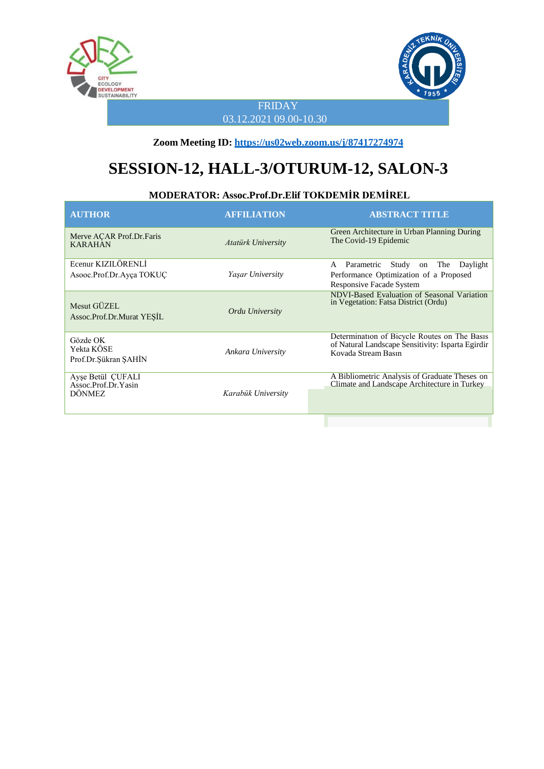



FRIDAY 03.12.2021 09.00-10.30

**Zoom Meeting ID: <https://us02web.zoom.us/j/87417274974>**

# **SESSION-12, HALL-3/OTURUM-12, SALON-3**

### **MODERATOR: Assoc.Prof.Dr.Elif TOKDEMİR DEMİREL**

| <b>AUTHOR</b>                                      | <b>AFFILIATION</b>        | <b>ABSTRACT TITLE</b>                                                                                                       |
|----------------------------------------------------|---------------------------|-----------------------------------------------------------------------------------------------------------------------------|
| Merve ACAR Prof.Dr.Faris<br><b>KARAHAN</b>         | <b>Atatürk University</b> | Green Architecture in Urban Planning During<br>The Covid-19 Epidemic                                                        |
| Ecenur KIZILÖRENLİ<br>Asooc.Prof.Dr.Ayça TOKUC     | Yaşar University          | Parametric<br>Study<br>on The<br>Daylight<br>A<br>Performance Optimization of a Proposed<br><b>Responsive Facade System</b> |
| Mesut GÜZEL<br>Assoc.Prof.Dr.Murat YESIL           | Ordu University           | NDVI-Based Evaluation of Seasonal Variation<br>in Vegetation: Fatsa District (Ordu)                                         |
| Gözde OK<br>Yekta KÖSE<br>Prof.Dr.Şükran ŞAHİN     | Ankara University         | Determination of Bicycle Routes on The Basis<br>of Natural Landscape Sensitivity: Isparta Egirdir<br>Kovada Stream Basın    |
| Ayşe Betül ÇUFALI<br>Assoc.Prof.Dr.Yasin<br>DÖNMEZ | Karabük University        | A Bibliometric Analysis of Graduate Theses on<br>Climate and Landscape Architecture in Turkey                               |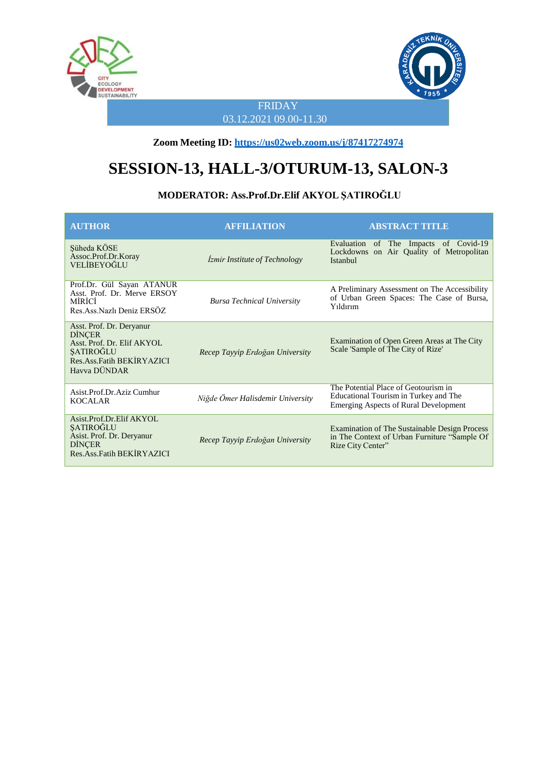



### FRIDAY 03.12.2021 09.00-11.30

**Zoom Meeting ID: <https://us02web.zoom.us/j/87417274974>**

# **SESSION-13, HALL-3/OTURUM-13, SALON-3**

### **MODERATOR: Ass.Prof.Dr.Elif AKYOL ŞATIROĞLU**

| <b>AUTHOR</b>                                                                                                                              | <b>AFFILIATION</b>                   | <b>ABSTRACT TITLE</b>                                                                                                         |
|--------------------------------------------------------------------------------------------------------------------------------------------|--------------------------------------|-------------------------------------------------------------------------------------------------------------------------------|
| Süheda KÖSE<br>Assoc.Prof.Dr.Koray<br>VELİBEYOĞLU                                                                                          | <i>Izmir Institute of Technology</i> | Evaluation of The Impacts of Covid-19<br>Lockdowns on Air Quality of Metropolitan<br>Istanbul                                 |
| Prof.Dr. Gül Sayan ATANUR<br>Asst. Prof. Dr. Merve ERSOY<br>MÍRÍCÍ<br>Res.Ass.Nazlı Deniz ERSÖZ                                            | <b>Bursa Technical University</b>    | A Preliminary Assessment on The Accessibility<br>of Urban Green Spaces: The Case of Bursa,<br>Yıldırım                        |
| Asst. Prof. Dr. Deryanur<br><b>DINCER</b><br>Asst. Prof. Dr. Elif AKYOL<br><b>SATIROĞLU</b><br>Res. Ass. Fatih BEKIRYAZICI<br>Havya DÜNDAR | Recep Tayyip Erdoğan University      | Examination of Open Green Areas at The City<br>Scale 'Sample of The City of Rize'                                             |
| Asist.Prof.Dr.Aziz Cumhur<br><b>KOCALAR</b>                                                                                                | Niğde Ömer Halisdemir University     | The Potential Place of Geotourism in<br>Educational Tourism in Turkey and The<br><b>Emerging Aspects of Rural Development</b> |
| Asist.Prof.Dr.Elif AKYOL<br>SATIROĞLU<br>Asist. Prof. Dr. Deryanur<br><b>DINCER</b><br>Res. Ass. Fatih BEKIRYAZICI                         | Recep Tayyip Erdoğan University      | <b>Examination of The Sustainable Design Process</b><br>in The Context of Urban Furniture "Sample Of<br>Rize City Center"     |